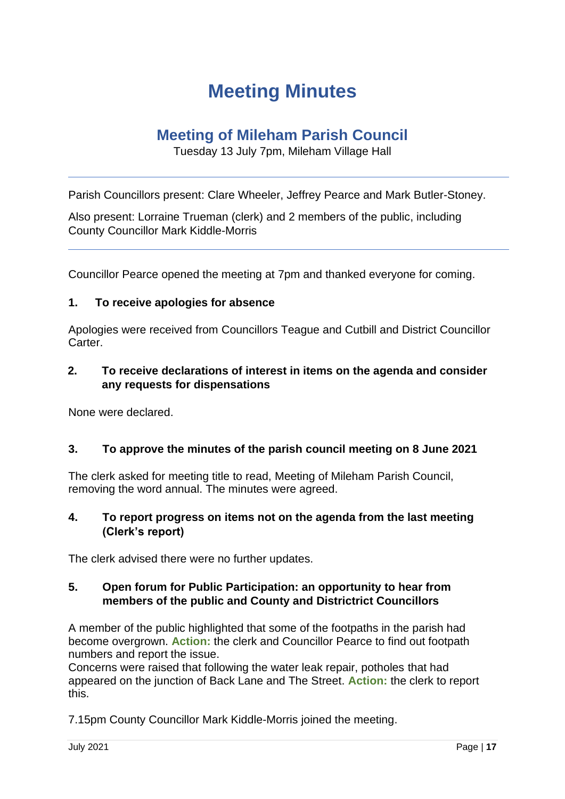# **Meeting Minutes**

# **Meeting of Mileham Parish Council**

Tuesday 13 July 7pm, Mileham Village Hall

Parish Councillors present: Clare Wheeler, Jeffrey Pearce and Mark Butler-Stoney.

Also present: Lorraine Trueman (clerk) and 2 members of the public, including County Councillor Mark Kiddle-Morris

Councillor Pearce opened the meeting at 7pm and thanked everyone for coming.

## **1. To receive apologies for absence**

Apologies were received from Councillors Teague and Cutbill and District Councillor Carter.

## **2. To receive declarations of interest in items on the agenda and consider any requests for dispensations**

None were declared.

#### **3. To approve the minutes of the parish council meeting on 8 June 2021**

The clerk asked for meeting title to read, Meeting of Mileham Parish Council, removing the word annual. The minutes were agreed.

#### **4. To report progress on items not on the agenda from the last meeting (Clerk's report)**

The clerk advised there were no further updates.

## **5. Open forum for Public Participation: an opportunity to hear from members of the public and County and Districtrict Councillors**

A member of the public highlighted that some of the footpaths in the parish had become overgrown. **Action:** the clerk and Councillor Pearce to find out footpath numbers and report the issue.

Concerns were raised that following the water leak repair, potholes that had appeared on the junction of Back Lane and The Street. **Action:** the clerk to report this.

7.15pm County Councillor Mark Kiddle-Morris joined the meeting.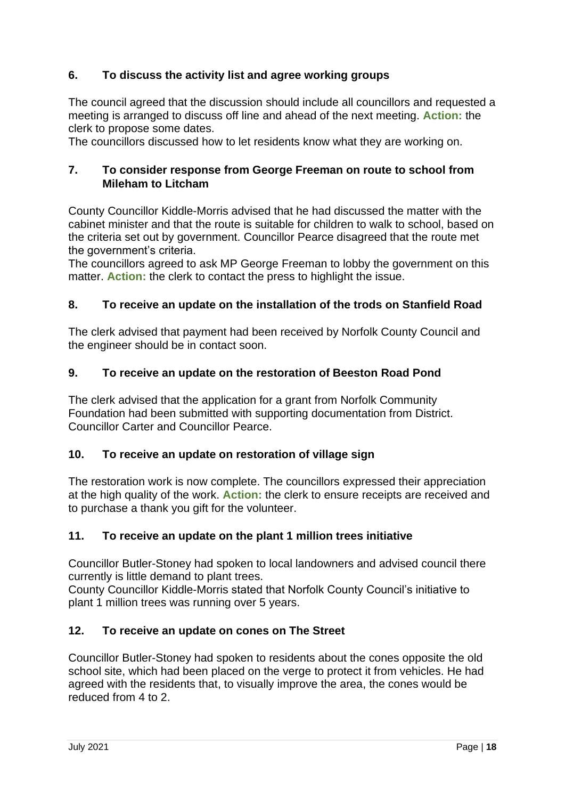# **6. To discuss the activity list and agree working groups**

The council agreed that the discussion should include all councillors and requested a meeting is arranged to discuss off line and ahead of the next meeting. **Action:** the clerk to propose some dates.

The councillors discussed how to let residents know what they are working on.

## **7. To consider response from George Freeman on route to school from Mileham to Litcham**

County Councillor Kiddle-Morris advised that he had discussed the matter with the cabinet minister and that the route is suitable for children to walk to school, based on the criteria set out by government. Councillor Pearce disagreed that the route met the government's criteria.

The councillors agreed to ask MP George Freeman to lobby the government on this matter. **Action:** the clerk to contact the press to highlight the issue.

## **8. To receive an update on the installation of the trods on Stanfield Road**

The clerk advised that payment had been received by Norfolk County Council and the engineer should be in contact soon.

## **9. To receive an update on the restoration of Beeston Road Pond**

The clerk advised that the application for a grant from Norfolk Community Foundation had been submitted with supporting documentation from District. Councillor Carter and Councillor Pearce.

#### **10. To receive an update on restoration of village sign**

The restoration work is now complete. The councillors expressed their appreciation at the high quality of the work. **Action:** the clerk to ensure receipts are received and to purchase a thank you gift for the volunteer.

#### **11. To receive an update on the plant 1 million trees initiative**

Councillor Butler-Stoney had spoken to local landowners and advised council there currently is little demand to plant trees.

County Councillor Kiddle-Morris stated that Norfolk County Council's initiative to plant 1 million trees was running over 5 years.

#### **12. To receive an update on cones on The Street**

Councillor Butler-Stoney had spoken to residents about the cones opposite the old school site, which had been placed on the verge to protect it from vehicles. He had agreed with the residents that, to visually improve the area, the cones would be reduced from 4 to 2.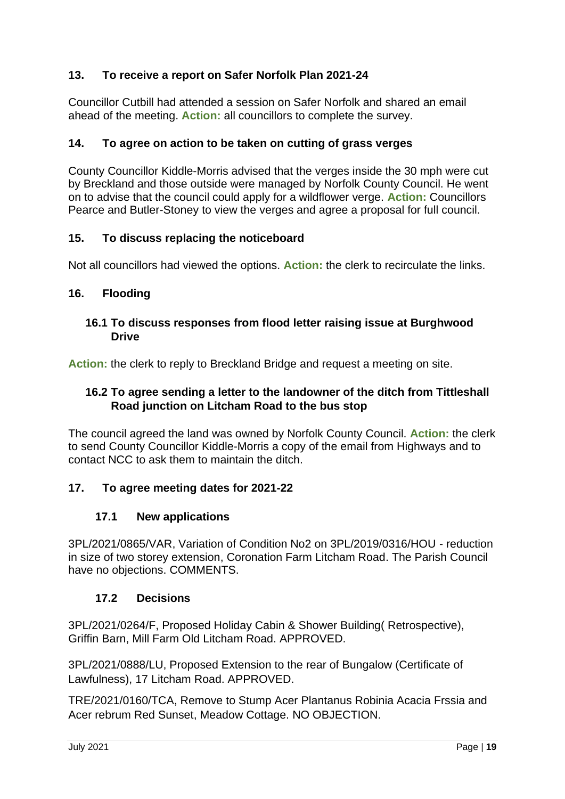## **13. To receive a report on Safer Norfolk Plan 2021-24**

Councillor Cutbill had attended a session on Safer Norfolk and shared an email ahead of the meeting. **Action:** all councillors to complete the survey.

## **14. To agree on action to be taken on cutting of grass verges**

County Councillor Kiddle-Morris advised that the verges inside the 30 mph were cut by Breckland and those outside were managed by Norfolk County Council. He went on to advise that the council could apply for a wildflower verge. **Action:** Councillors Pearce and Butler-Stoney to view the verges and agree a proposal for full council.

#### **15. To discuss replacing the noticeboard**

Not all councillors had viewed the options. **Action:** the clerk to recirculate the links.

## **16. Flooding**

#### **16.1 To discuss responses from flood letter raising issue at Burghwood Drive**

**Action:** the clerk to reply to Breckland Bridge and request a meeting on site.

## **16.2 To agree sending a letter to the landowner of the ditch from Tittleshall Road junction on Litcham Road to the bus stop**

The council agreed the land was owned by Norfolk County Council. **Action:** the clerk to send County Councillor Kiddle-Morris a copy of the email from Highways and to contact NCC to ask them to maintain the ditch.

#### **17. To agree meeting dates for 2021-22**

#### **17.1 New applications**

3PL/2021/0865/VAR, Variation of Condition No2 on 3PL/2019/0316/HOU - reduction in size of two storey extension, Coronation Farm Litcham Road. The Parish Council have no objections. COMMENTS.

#### **17.2 Decisions**

3PL/2021/0264/F, Proposed Holiday Cabin & Shower Building( Retrospective), Griffin Barn, Mill Farm Old Litcham Road. APPROVED.

3PL/2021/0888/LU, Proposed Extension to the rear of Bungalow (Certificate of Lawfulness), 17 Litcham Road. APPROVED.

TRE/2021/0160/TCA, Remove to Stump Acer Plantanus Robinia Acacia Frssia and Acer rebrum Red Sunset, Meadow Cottage. NO OBJECTION.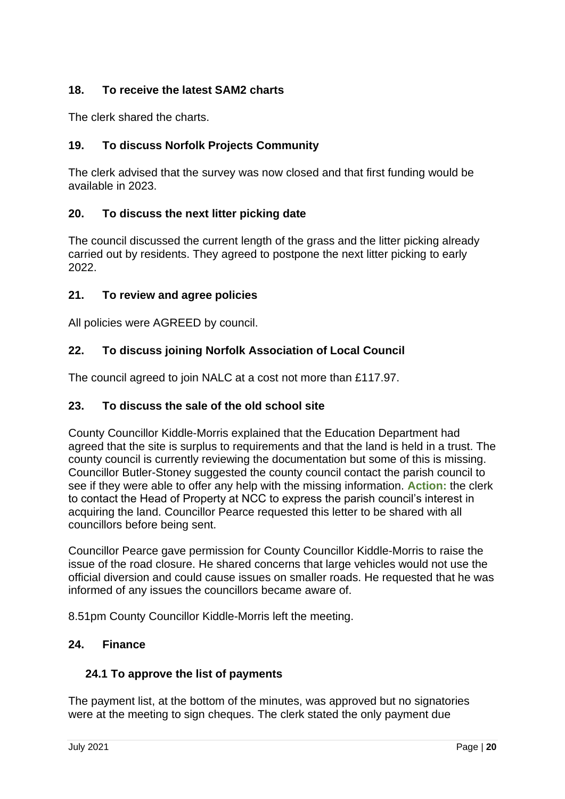## **18. To receive the latest SAM2 charts**

The clerk shared the charts.

## **19. To discuss Norfolk Projects Community**

The clerk advised that the survey was now closed and that first funding would be available in 2023.

## **20. To discuss the next litter picking date**

The council discussed the current length of the grass and the litter picking already carried out by residents. They agreed to postpone the next litter picking to early 2022.

## **21. To review and agree policies**

All policies were AGREED by council.

## **22. To discuss joining Norfolk Association of Local Council**

The council agreed to join NALC at a cost not more than £117.97.

#### **23. To discuss the sale of the old school site**

County Councillor Kiddle-Morris explained that the Education Department had agreed that the site is surplus to requirements and that the land is held in a trust. The county council is currently reviewing the documentation but some of this is missing. Councillor Butler-Stoney suggested the county council contact the parish council to see if they were able to offer any help with the missing information. **Action:** the clerk to contact the Head of Property at NCC to express the parish council's interest in acquiring the land. Councillor Pearce requested this letter to be shared with all councillors before being sent.

Councillor Pearce gave permission for County Councillor Kiddle-Morris to raise the issue of the road closure. He shared concerns that large vehicles would not use the official diversion and could cause issues on smaller roads. He requested that he was informed of any issues the councillors became aware of.

8.51pm County Councillor Kiddle-Morris left the meeting.

#### **24. Finance**

## **24.1 To approve the list of payments**

The payment list, at the bottom of the minutes, was approved but no signatories were at the meeting to sign cheques. The clerk stated the only payment due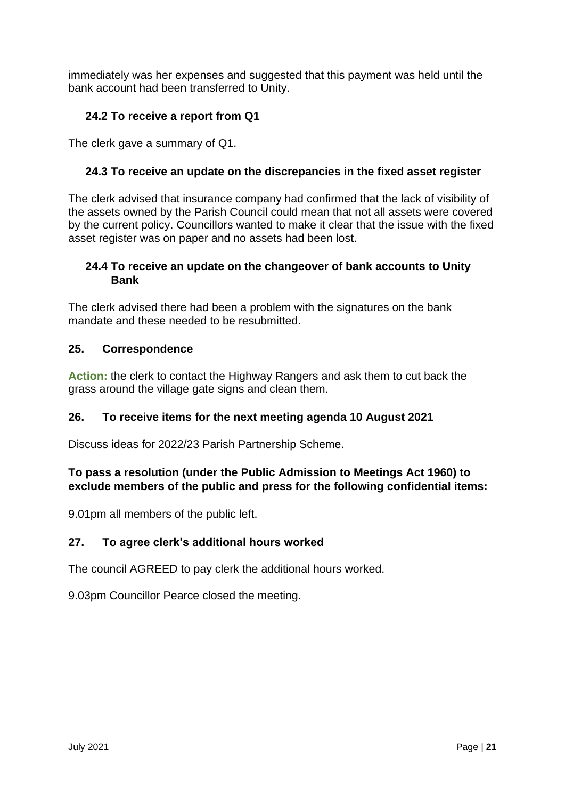immediately was her expenses and suggested that this payment was held until the bank account had been transferred to Unity.

# **24.2 To receive a report from Q1**

The clerk gave a summary of Q1.

# **24.3 To receive an update on the discrepancies in the fixed asset register**

The clerk advised that insurance company had confirmed that the lack of visibility of the assets owned by the Parish Council could mean that not all assets were covered by the current policy. Councillors wanted to make it clear that the issue with the fixed asset register was on paper and no assets had been lost.

## **24.4 To receive an update on the changeover of bank accounts to Unity Bank**

The clerk advised there had been a problem with the signatures on the bank mandate and these needed to be resubmitted.

## **25. Correspondence**

**Action:** the clerk to contact the Highway Rangers and ask them to cut back the grass around the village gate signs and clean them.

## **26. To receive items for the next meeting agenda 10 August 2021**

Discuss ideas for 2022/23 Parish Partnership Scheme.

## **To pass a resolution (under the Public Admission to Meetings Act 1960) to exclude members of the public and press for the following confidential items:**

9.01pm all members of the public left.

## **27. To agree clerk's additional hours worked**

The council AGREED to pay clerk the additional hours worked.

9.03pm Councillor Pearce closed the meeting.